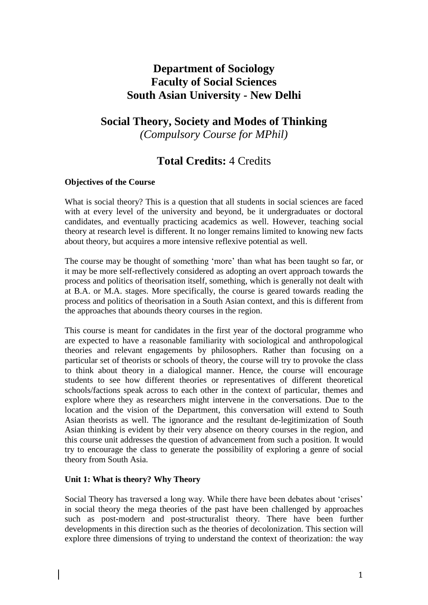## **Department of Sociology Faculty of Social Sciences South Asian University - New Delhi**

# **Social Theory, Society and Modes of Thinking** *(Compulsory Course for MPhil)*

## **Total Credits:** 4 Credits

## **Objectives of the Course**

What is social theory? This is a question that all students in social sciences are faced with at every level of the university and beyond, be it undergraduates or doctoral candidates, and eventually practicing academics as well. However, teaching social theory at research level is different. It no longer remains limited to knowing new facts about theory, but acquires a more intensive reflexive potential as well.

The course may be thought of something 'more' than what has been taught so far, or it may be more self-reflectively considered as adopting an overt approach towards the process and politics of theorisation itself, something, which is generally not dealt with at B.A. or M.A. stages. More specifically, the course is geared towards reading the process and politics of theorisation in a South Asian context, and this is different from the approaches that abounds theory courses in the region.

This course is meant for candidates in the first year of the doctoral programme who are expected to have a reasonable familiarity with sociological and anthropological theories and relevant engagements by philosophers. Rather than focusing on a particular set of theorists or schools of theory, the course will try to provoke the class to think about theory in a dialogical manner. Hence, the course will encourage students to see how different theories or representatives of different theoretical schools/factions speak across to each other in the context of particular, themes and explore where they as researchers might intervene in the conversations. Due to the location and the vision of the Department, this conversation will extend to South Asian theorists as well. The ignorance and the resultant de-legitimization of South Asian thinking is evident by their very absence on theory courses in the region, and this course unit addresses the question of advancement from such a position. It would try to encourage the class to generate the possibility of exploring a genre of social theory from South Asia.

## **Unit 1: What is theory? Why Theory**

Social Theory has traversed a long way. While there have been debates about 'crises' in social theory the mega theories of the past have been challenged by approaches such as post-modern and post-structuralist theory. There have been further developments in this direction such as the theories of decolonization. This section will explore three dimensions of trying to understand the context of theorization: the way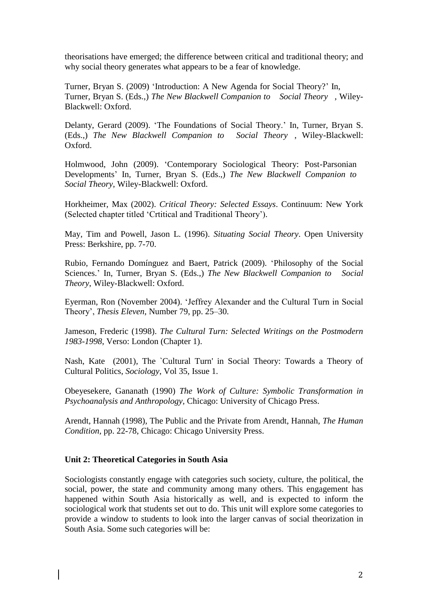theorisations have emerged; the difference between critical and traditional theory; and why social theory generates what appears to be a fear of knowledge.

Turner, Bryan S. (2009) 'Introduction: A New Agenda for Social Theory?' In, Turner, Bryan S. (Eds.,) *The New Blackwell Companion to Social Theory* , Wiley-Blackwell: Oxford.

Delanty, Gerard (2009). 'The Foundations of Social Theory.' In, Turner, Bryan S. (Eds.,) *The New Blackwell Companion to Social Theory* , Wiley-Blackwell: Oxford.

Holmwood, John (2009). 'Contemporary Sociological Theory: Post-Parsonian Developments' In, Turner, Bryan S. (Eds.,) *The New Blackwell Companion to Social Theory*, Wiley-Blackwell: Oxford.

Horkheimer, Max (2002). *Critical Theory: Selected Essays*. Continuum: New York (Selected chapter titled 'Crtitical and Traditional Theory').

May, Tim and Powell, Jason L. (1996). *Situating Social Theory*. Open University Press: Berkshire, pp. 7-70.

Rubio, Fernando Domínguez and Baert, Patrick (2009). 'Philosophy of the Social Sciences.' In, Turner, Bryan S. (Eds.,) *The New Blackwell Companion to Social Theory*, Wiley-Blackwell: Oxford.

Eyerman, Ron (November 2004). 'Jeffrey Alexander and the Cultural Turn in Social Theory', *Thesis Eleven*, Number 79, pp. 25–30.

Jameson, Frederic (1998). *The Cultural Turn: Selected Writings on the Postmodern 1983-1998*, Verso: London (Chapter 1).

Nash, Kate (2001), The `Cultural Turn' in Social Theory: Towards a Theory of Cultural Politics, *Sociology*, Vol 35, Issue 1.

Obeyesekere, Gananath (1990) *The Work of Culture: Symbolic Transformation in Psychoanalysis and Anthropology,* Chicago: University of Chicago Press.

Arendt, Hannah (1998), The Public and the Private from Arendt, Hannah, *The Human Condition,* pp. 22-78, Chicago: Chicago University Press.

### **Unit 2: Theoretical Categories in South Asia**

Sociologists constantly engage with categories such society, culture, the political, the social, power, the state and community among many others. This engagement has happened within South Asia historically as well, and is expected to inform the sociological work that students set out to do. This unit will explore some categories to provide a window to students to look into the larger canvas of social theorization in South Asia. Some such categories will be: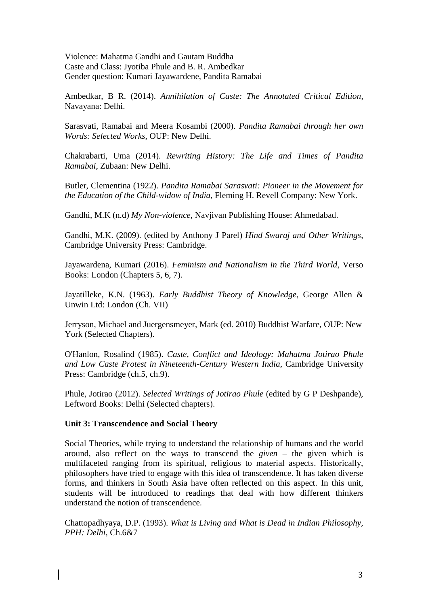Violence: Mahatma Gandhi and Gautam Buddha Caste and Class: Jyotiba Phule and B. R. Ambedkar Gender question: Kumari Jayawardene, Pandita Ramabai

Ambedkar, B R. (2014). *Annihilation of Caste: The Annotated Critical Edition*, Navayana: Delhi.

Sarasvati, Ramabai and Meera Kosambi (2000). *Pandita Ramabai through her own Words: Selected Works*, OUP: New Delhi.

Chakrabarti, Uma (2014). *Rewriting History: The Life and Times of Pandita Ramabai*, Zubaan: New Delhi.

Butler, Clementina (1922). *Pandita Ramabai Sarasvati: Pioneer in the Movement for the Education of the Child-widow of India*, Fleming H. Revell Company: New York.

Gandhi, M.K (n.d) *My Non-violence*, Navjivan Publishing House: Ahmedabad.

Gandhi, M.K. (2009). (edited by Anthony J Parel) *Hind Swaraj and Other Writings*, Cambridge University Press: Cambridge.

Jayawardena, Kumari (2016). *Feminism and Nationalism in the Third World*, Verso Books: London (Chapters 5, 6, 7).

Jayatilleke, K.N. (1963). *Early Buddhist Theory of Knowledge*, George Allen & Unwin Ltd: London (Ch. VII)

Jerryson, Michael and Juergensmeyer, Mark (ed. 2010) Buddhist Warfare, OUP: New York (Selected Chapters).

O'Hanlon, Rosalind (1985). *Caste, Conflict and Ideology: Mahatma Jotirao Phule and Low Caste Protest in Nineteenth-Century Western India*, Cambridge University Press: Cambridge (ch.5, ch.9).

Phule, Jotirao (2012). *Selected Writings of Jotirao Phule* (edited by G P Deshpande), Leftword Books: Delhi (Selected chapters).

#### **Unit 3: Transcendence and Social Theory**

Social Theories, while trying to understand the relationship of humans and the world around, also reflect on the ways to transcend the *given* – the given which is multifaceted ranging from its spiritual, religious to material aspects. Historically, philosophers have tried to engage with this idea of transcendence. It has taken diverse forms, and thinkers in South Asia have often reflected on this aspect. In this unit, students will be introduced to readings that deal with how different thinkers understand the notion of transcendence.

Chattopadhyaya, D.P. (1993). *What is Living and What is Dead in Indian Philosophy, PPH: Delhi*, Ch.6&7